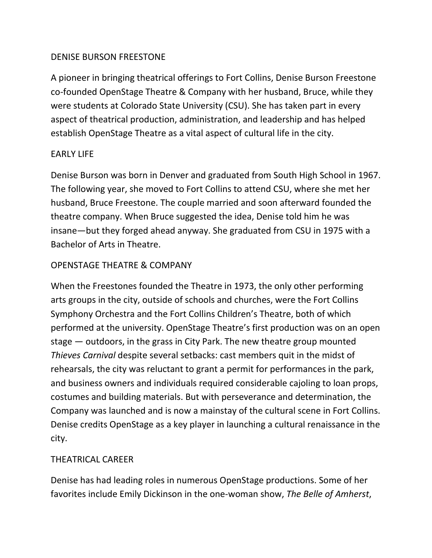### DENISE BURSON FREESTONE

A pioneer in bringing theatrical offerings to Fort Collins, Denise Burson Freestone co-founded OpenStage Theatre & Company with her husband, Bruce, while they were students at Colorado State University (CSU). She has taken part in every aspect of theatrical production, administration, and leadership and has helped establish OpenStage Theatre as a vital aspect of cultural life in the city.

# EARLY LIFE

Denise Burson was born in Denver and graduated from South High School in 1967. The following year, she moved to Fort Collins to attend CSU, where she met her husband, Bruce Freestone. The couple married and soon afterward founded the theatre company. When Bruce suggested the idea, Denise told him he was insane—but they forged ahead anyway. She graduated from CSU in 1975 with a Bachelor of Arts in Theatre.

# OPENSTAGE THEATRE & COMPANY

When the Freestones founded the Theatre in 1973, the only other performing arts groups in the city, outside of schools and churches, were the Fort Collins Symphony Orchestra and the Fort Collins Children's Theatre, both of which performed at the university. OpenStage Theatre's first production was on an open stage — outdoors, in the grass in City Park. The new theatre group mounted *Thieves Carnival* despite several setbacks: cast members quit in the midst of rehearsals, the city was reluctant to grant a permit for performances in the park, and business owners and individuals required considerable cajoling to loan props, costumes and building materials. But with perseverance and determination, the Company was launched and is now a mainstay of the cultural scene in Fort Collins. Denise credits OpenStage as a key player in launching a cultural renaissance in the city.

### THEATRICAL CAREER

Denise has had leading roles in numerous OpenStage productions. Some of her favorites include Emily Dickinson in the one-woman show, *The Belle of Amherst*,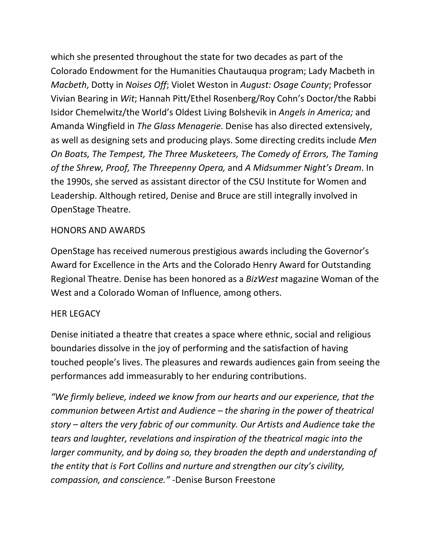which she presented throughout the state for two decades as part of the Colorado Endowment for the Humanities Chautauqua program; Lady Macbeth in *Macbeth*, Dotty in *Noises Off*; Violet Weston in *August: Osage County*; Professor Vivian Bearing in *Wit*; Hannah Pitt/Ethel Rosenberg/Roy Cohn's Doctor/the Rabbi Isidor Chemelwitz/the World's Oldest Living Bolshevik in *Angels in America;* and Amanda Wingfield in *The Glass Menagerie*. Denise has also directed extensively, as well as designing sets and producing plays. Some directing credits include *Men On Boats, The Tempest, The Three Musketeers, The Comedy of Errors, The Taming of the Shrew, Proof, The Threepenny Opera,* and *A Midsummer Night's Dream*. In the 1990s, she served as assistant director of the CSU Institute for Women and Leadership. Although retired, Denise and Bruce are still integrally involved in OpenStage Theatre.

### HONORS AND AWARDS

OpenStage has received numerous prestigious awards including the Governor's Award for Excellence in the Arts and the Colorado Henry Award for Outstanding Regional Theatre. Denise has been honored as a *BizWest* magazine Woman of the West and a Colorado Woman of Influence, among others.

### HER LEGACY

Denise initiated a theatre that creates a space where ethnic, social and religious boundaries dissolve in the joy of performing and the satisfaction of having touched people's lives. The pleasures and rewards audiences gain from seeing the performances add immeasurably to her enduring contributions.

*"We firmly believe, indeed we know from our hearts and our experience, that the communion between Artist and Audience – the sharing in the power of theatrical story – alters the very fabric of our community. Our Artists and Audience take the tears and laughter, revelations and inspiration of the theatrical magic into the larger community, and by doing so, they broaden the depth and understanding of the entity that is Fort Collins and nurture and strengthen our city's civility, compassion, and conscience."* -Denise Burson Freestone